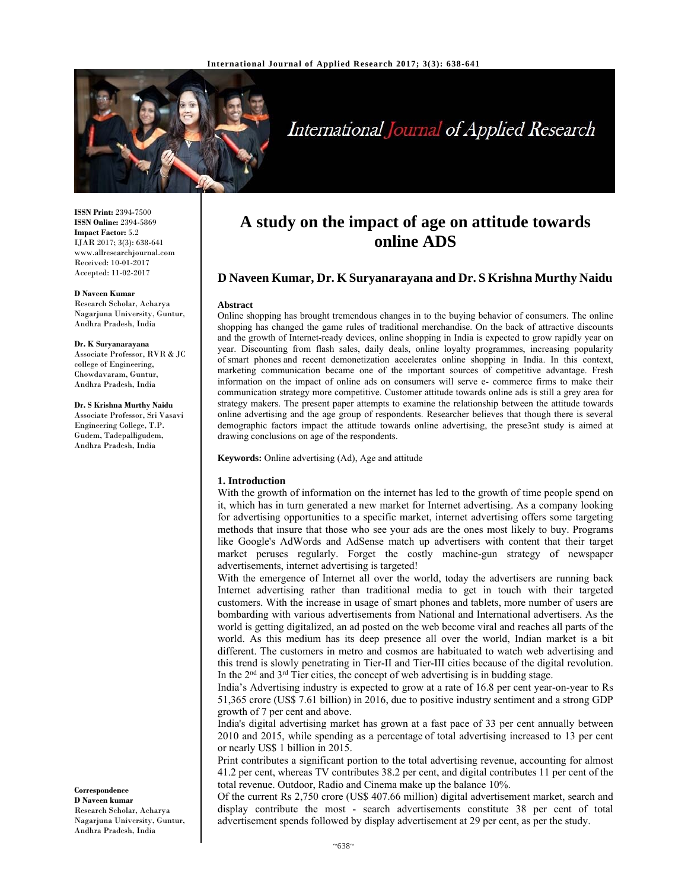

# International Journal of Applied Research

**ISSN Print:** 2394-7500 **ISSN Online:** 2394-5869 **Impact Factor:** 5.2 IJAR 2017; 3(3): 638-641 www.allresearchjournal.com Received: 10-01-2017 Accepted: 11-02-2017

#### **D Naveen Kumar**

Research Scholar, Acharya Nagarjuna University, Guntur, Andhra Pradesh, India

### **Dr. K Suryanarayana**

Associate Professor, RVR & JC college of Engineering, Chowdavaram, Guntur, Andhra Pradesh, India

#### **Dr. S Krishna Murthy Naidu**

Associate Professor, Sri Vasavi Engineering College, T.P. Gudem, Tadepalligudem, Andhra Pradesh, India

**A study on the impact of age on attitude towards online ADS**

# **D Naveen Kumar, Dr. K Suryanarayana and Dr. S Krishna Murthy Naidu**

#### **Abstract**

Online shopping has brought tremendous changes in to the buying behavior of consumers. The online shopping has changed the game rules of traditional merchandise. On the back of attractive discounts and the growth of Internet-ready devices, online shopping in India is expected to grow rapidly year on year. Discounting from flash sales, daily deals, online loyalty programmes, increasing popularity of smart phones and recent demonetization accelerates online shopping in India. In this context, marketing communication became one of the important sources of competitive advantage. Fresh information on the impact of online ads on consumers will serve e- commerce firms to make their communication strategy more competitive. Customer attitude towards online ads is still a grey area for strategy makers. The present paper attempts to examine the relationship between the attitude towards online advertising and the age group of respondents. Researcher believes that though there is several demographic factors impact the attitude towards online advertising, the prese3nt study is aimed at drawing conclusions on age of the respondents.

**Keywords:** Online advertising (Ad), Age and attitude

## **1. Introduction**

With the growth of information on the internet has led to the growth of time people spend on it, which has in turn generated a new market for Internet advertising. As a company looking for advertising opportunities to a specific market, internet advertising offers some targeting methods that insure that those who see your ads are the ones most likely to buy. Programs like Google's AdWords and AdSense match up advertisers with content that their target market peruses regularly. Forget the costly machine-gun strategy of newspaper advertisements, internet advertising is targeted!

With the emergence of Internet all over the world, today the advertisers are running back Internet advertising rather than traditional media to get in touch with their targeted customers. With the increase in usage of smart phones and tablets, more number of users are bombarding with various advertisements from National and International advertisers. As the world is getting digitalized, an ad posted on the web become viral and reaches all parts of the world. As this medium has its deep presence all over the world, Indian market is a bit different. The customers in metro and cosmos are habituated to watch web advertising and this trend is slowly penetrating in Tier-II and Tier-III cities because of the digital revolution. In the 2nd and 3rd Tier cities, the concept of web advertising is in budding stage.

India's Advertising industry is expected to grow at a rate of 16.8 per cent year-on-year to Rs 51,365 crore (US\$ 7.61 billion) in 2016, due to positive industry sentiment and a strong GDP growth of 7 per cent and above.

India's digital advertising market has grown at a fast pace of 33 per cent annually between 2010 and 2015, while spending as a percentage of total advertising increased to 13 per cent or nearly US\$ 1 billion in 2015.

Print contributes a significant portion to the total advertising revenue, accounting for almost 41.2 per cent, whereas TV contributes 38.2 per cent, and digital contributes 11 per cent of the total revenue. Outdoor, Radio and Cinema make up the balance 10%.

Of the current Rs 2,750 crore (US\$ 407.66 million) digital advertisement market, search and display contribute the most - search advertisements constitute 38 per cent of total advertisement spends followed by display advertisement at 29 per cent, as per the study.

**Correspondence D Naveen kumar**  Research Scholar, Acharya Nagarjuna University, Guntur, Andhra Pradesh, India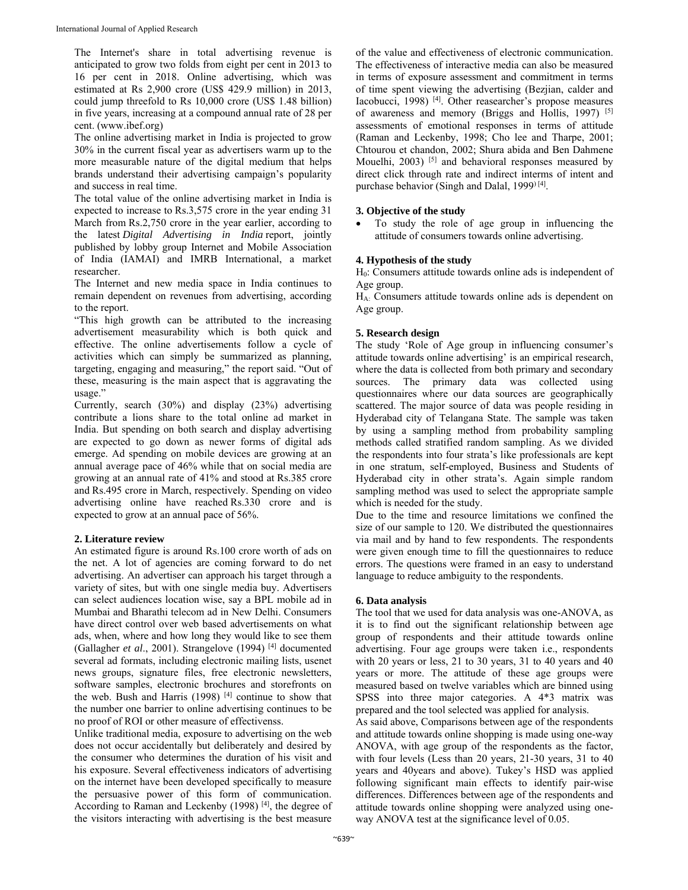The Internet's share in total advertising revenue is anticipated to grow two folds from eight per cent in 2013 to 16 per cent in 2018. Online advertising, which was estimated at Rs 2,900 crore (US\$ 429.9 million) in 2013, could jump threefold to Rs 10,000 crore (US\$ 1.48 billion) in five years, increasing at a compound annual rate of 28 per cent. (www.ibef.org)

The online advertising market in India is projected to grow 30% in the current fiscal year as advertisers warm up to the more measurable nature of the digital medium that helps brands understand their advertising campaign's popularity and success in real time.

The total value of the online advertising market in India is expected to increase to Rs.3,575 crore in the year ending 31 March from Rs.2,750 crore in the year earlier, according to the latest *Digital Advertising in India* report, jointly published by lobby group Internet and Mobile Association of India (IAMAI) and IMRB International, a market researcher.

The Internet and new media space in India continues to remain dependent on revenues from advertising, according to the report.

"This high growth can be attributed to the increasing advertisement measurability which is both quick and effective. The online advertisements follow a cycle of activities which can simply be summarized as planning, targeting, engaging and measuring," the report said. "Out of these, measuring is the main aspect that is aggravating the usage."

Currently, search (30%) and display (23%) advertising contribute a lions share to the total online ad market in India. But spending on both search and display advertising are expected to go down as newer forms of digital ads emerge. Ad spending on mobile devices are growing at an annual average pace of 46% while that on social media are growing at an annual rate of 41% and stood at Rs.385 crore and Rs.495 crore in March, respectively. Spending on video advertising online have reached Rs.330 crore and is expected to grow at an annual pace of 56%.

## **2. Literature review**

An estimated figure is around Rs.100 crore worth of ads on the net. A lot of agencies are coming forward to do net advertising. An advertiser can approach his target through a variety of sites, but with one single media buy. Advertisers can select audiences location wise, say a BPL mobile ad in Mumbai and Bharathi telecom ad in New Delhi. Consumers have direct control over web based advertisements on what ads, when, where and how long they would like to see them (Gallagher *et al*., 2001). Strangelove (1994) [4] documented several ad formats, including electronic mailing lists, usenet news groups, signature files, free electronic newsletters, software samples, electronic brochures and storefronts on the web. Bush and Harris  $(1998)$  [4] continue to show that the number one barrier to online advertising continues to be no proof of ROI or other measure of effectivenss.

Unlike traditional media, exposure to advertising on the web does not occur accidentally but deliberately and desired by the consumer who determines the duration of his visit and his exposure. Several effectiveness indicators of advertising on the internet have been developed specifically to measure the persuasive power of this form of communication. According to Raman and Leckenby  $(1998)$ <sup>[4]</sup>, the degree of the visitors interacting with advertising is the best measure

of the value and effectiveness of electronic communication. The effectiveness of interactive media can also be measured in terms of exposure assessment and commitment in terms of time spent viewing the advertising (Bezjian, calder and Iacobucci, 1998) [4]. Other reasearcher's propose measures of awareness and memory (Briggs and Hollis, 1997)<sup>[5]</sup> assessments of emotional responses in terms of attitude (Raman and Leckenby, 1998; Cho lee and Tharpe, 2001; Chtourou et chandon, 2002; Shura abida and Ben Dahmene Mouelhi, 2003)  $[5]$  and behavioral responses measured by direct click through rate and indirect interms of intent and purchase behavior (Singh and Dalal, 1999) [4].

## **3. Objective of the study**

 To study the role of age group in influencing the attitude of consumers towards online advertising.

## **4. Hypothesis of the study**

H0: Consumers attitude towards online ads is independent of Age group.

HA: Consumers attitude towards online ads is dependent on Age group.

## **5. Research design**

The study 'Role of Age group in influencing consumer's attitude towards online advertising' is an empirical research, where the data is collected from both primary and secondary sources. The primary data was collected using questionnaires where our data sources are geographically scattered. The major source of data was people residing in Hyderabad city of Telangana State. The sample was taken by using a sampling method from probability sampling methods called stratified random sampling. As we divided the respondents into four strata's like professionals are kept in one stratum, self-employed, Business and Students of Hyderabad city in other strata's. Again simple random sampling method was used to select the appropriate sample which is needed for the study.

Due to the time and resource limitations we confined the size of our sample to 120. We distributed the questionnaires via mail and by hand to few respondents. The respondents were given enough time to fill the questionnaires to reduce errors. The questions were framed in an easy to understand language to reduce ambiguity to the respondents.

## **6. Data analysis**

The tool that we used for data analysis was one-ANOVA, as it is to find out the significant relationship between age group of respondents and their attitude towards online advertising. Four age groups were taken i.e., respondents with 20 years or less, 21 to 30 years, 31 to 40 years and 40 years or more. The attitude of these age groups were measured based on twelve variables which are binned using SPSS into three major categories. A 4\*3 matrix was prepared and the tool selected was applied for analysis.

As said above, Comparisons between age of the respondents and attitude towards online shopping is made using one-way ANOVA, with age group of the respondents as the factor, with four levels (Less than 20 years, 21-30 years, 31 to 40 years and 40years and above). Tukey's HSD was applied following significant main effects to identify pair-wise differences. Differences between age of the respondents and attitude towards online shopping were analyzed using oneway ANOVA test at the significance level of 0.05.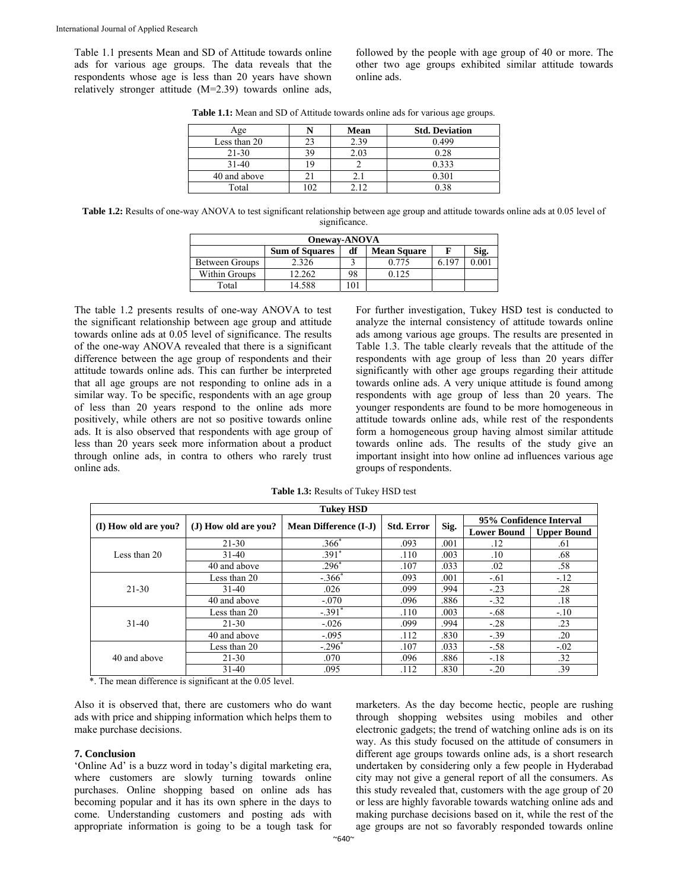Table 1.1 presents Mean and SD of Attitude towards online ads for various age groups. The data reveals that the respondents whose age is less than 20 years have shown relatively stronger attitude (M=2.39) towards online ads, followed by the people with age group of 40 or more. The other two age groups exhibited similar attitude towards online ads.

| Age          |    | <b>Mean</b> | <b>Std. Deviation</b> |
|--------------|----|-------------|-----------------------|
| Less than 20 |    | 2.39        | 0.499                 |
| $21 - 30$    | 39 | 2.03        | 0.28                  |
| $31 - 40$    |    |             | 0.333                 |
| 40 and above |    | 2.1         | 0.301                 |
| Total        | 02 |             | 0.38                  |

**Table 1.1:** Mean and SD of Attitude towards online ads for various age groups.

**Table 1.2:** Results of one-way ANOVA to test significant relationship between age group and attitude towards online ads at 0.05 level of significance.

| <b>Oneway-ANOVA</b> |                       |    |                    |  |      |  |  |  |  |
|---------------------|-----------------------|----|--------------------|--|------|--|--|--|--|
|                     | <b>Sum of Squares</b> | df | <b>Mean Square</b> |  | Sig. |  |  |  |  |
| Between Groups      | 2.326                 |    | 0.775              |  |      |  |  |  |  |
| Within Groups       | 12.262                | 98 | 0.125              |  |      |  |  |  |  |
| Total               | 14.588                |    |                    |  |      |  |  |  |  |

The table 1.2 presents results of one-way ANOVA to test the significant relationship between age group and attitude towards online ads at 0.05 level of significance. The results of the one-way ANOVA revealed that there is a significant difference between the age group of respondents and their attitude towards online ads. This can further be interpreted that all age groups are not responding to online ads in a similar way. To be specific, respondents with an age group of less than 20 years respond to the online ads more positively, while others are not so positive towards online ads. It is also observed that respondents with age group of less than 20 years seek more information about a product through online ads, in contra to others who rarely trust online ads.

For further investigation, Tukey HSD test is conducted to analyze the internal consistency of attitude towards online ads among various age groups. The results are presented in Table 1.3. The table clearly reveals that the attitude of the respondents with age group of less than 20 years differ significantly with other age groups regarding their attitude towards online ads. A very unique attitude is found among respondents with age group of less than 20 years. The younger respondents are found to be more homogeneous in attitude towards online ads, while rest of the respondents form a homogeneous group having almost similar attitude towards online ads. The results of the study give an important insight into how online ad influences various age groups of respondents.

**Table 1.3:** Results of Tukey HSD test

| <b>Tukey HSD</b>     |                      |                              |                   |      |                         |                    |  |  |  |
|----------------------|----------------------|------------------------------|-------------------|------|-------------------------|--------------------|--|--|--|
|                      | (J) How old are you? | <b>Mean Difference (I-J)</b> | <b>Std. Error</b> | Sig. | 95% Confidence Interval |                    |  |  |  |
| (I) How old are you? |                      |                              |                   |      | <b>Lower Bound</b>      | <b>Upper Bound</b> |  |  |  |
| Less than 20         | $21 - 30$            | $.366*$                      | .093              | .001 | .12                     | .61                |  |  |  |
|                      | $31 - 40$            | $.391*$                      | .110              | .003 | .10                     | .68                |  |  |  |
|                      | 40 and above         | $.296*$                      | .107              | .033 | .02                     | .58                |  |  |  |
| $21 - 30$            | Less than 20         | $-.366*$                     | .093              | .001 | $-.61$                  | $-.12$             |  |  |  |
|                      | $31-40$              | .026                         | .099              | .994 | $-.23$                  | .28                |  |  |  |
|                      | 40 and above         | $-.070$                      | .096              | .886 | $-.32$                  | .18                |  |  |  |
| $31-40$              | Less than 20         | $-.391$ <sup>*</sup>         | .110              | .003 | $-.68$                  | $-.10$             |  |  |  |
|                      | $21 - 30$            | $-.026$                      | .099              | .994 | $-.28$                  | $.23\,$            |  |  |  |
|                      | 40 and above         | $-.095$                      | .112              | .830 | $-.39$                  | .20                |  |  |  |
| 40 and above         | Less than 20         | $-.296*$                     | .107              | .033 | $-.58$                  | $-.02$             |  |  |  |
|                      | $21 - 30$            | .070                         | .096              | .886 | $-.18$                  | .32                |  |  |  |
|                      | $31 - 40$            | .095                         | .112              | .830 | $-.20$                  | .39                |  |  |  |

\*. The mean difference is significant at the 0.05 level.

Also it is observed that, there are customers who do want ads with price and shipping information which helps them to make purchase decisions.

## **7. Conclusion**

'Online Ad' is a buzz word in today's digital marketing era, where customers are slowly turning towards online purchases. Online shopping based on online ads has becoming popular and it has its own sphere in the days to come. Understanding customers and posting ads with appropriate information is going to be a tough task for marketers. As the day become hectic, people are rushing through shopping websites using mobiles and other electronic gadgets; the trend of watching online ads is on its way. As this study focused on the attitude of consumers in different age groups towards online ads, is a short research undertaken by considering only a few people in Hyderabad city may not give a general report of all the consumers. As this study revealed that, customers with the age group of 20 or less are highly favorable towards watching online ads and making purchase decisions based on it, while the rest of the age groups are not so favorably responded towards online